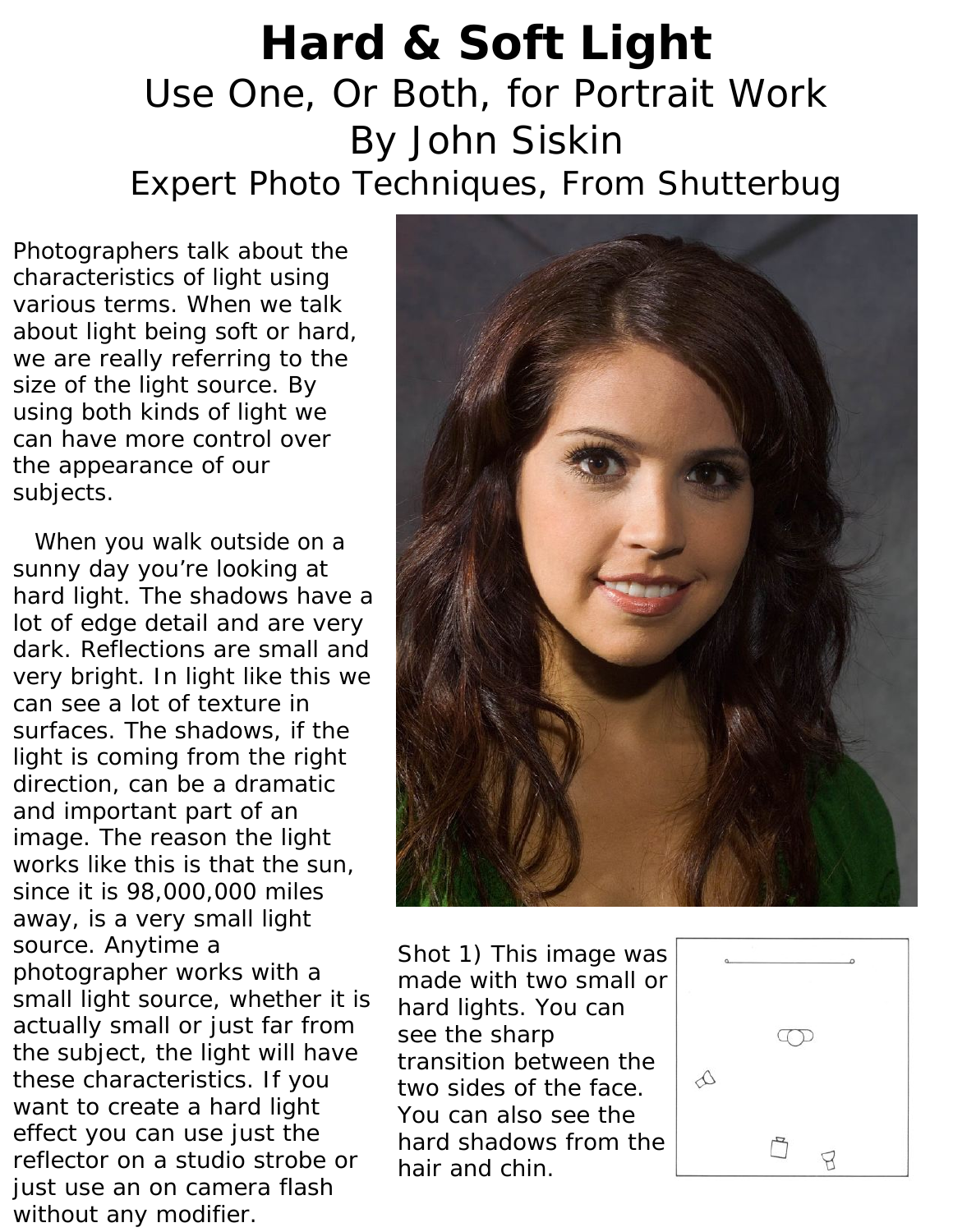## **Hard & Soft Light** Use One, Or Both, for Portrait Work By John Siskin Expert Photo Techniques, From Shutterbug

Photographers talk about the characteristics of light using various terms. When we talk about light being soft or hard, we are really referring to the size of the light source. By using both kinds of light we can have more control over the appearance of our subjects.

 When you walk outside on a sunny day you're looking at hard light. The shadows have a lot of edge detail and are very dark. Reflections are small and very bright. In light like this we can see a lot of texture in surfaces. The shadows, if the light is coming from the right direction, can be a dramatic and important part of an image. The reason the light works like this is that the sun, since it is 98,000,000 miles away, is a very small light source. Anytime a photographer works with a small light source, whether it is actually small or just far from the subject, the light will have these characteristics. If you want to create a hard light effect you can use just the reflector on a studio strobe or just use an on camera flash without any modifier.



*Shot 1) This image was made with two small or hard lights. You can see the sharp transition between the two sides of the face. You can also see the hard shadows from the hair and chin.* 

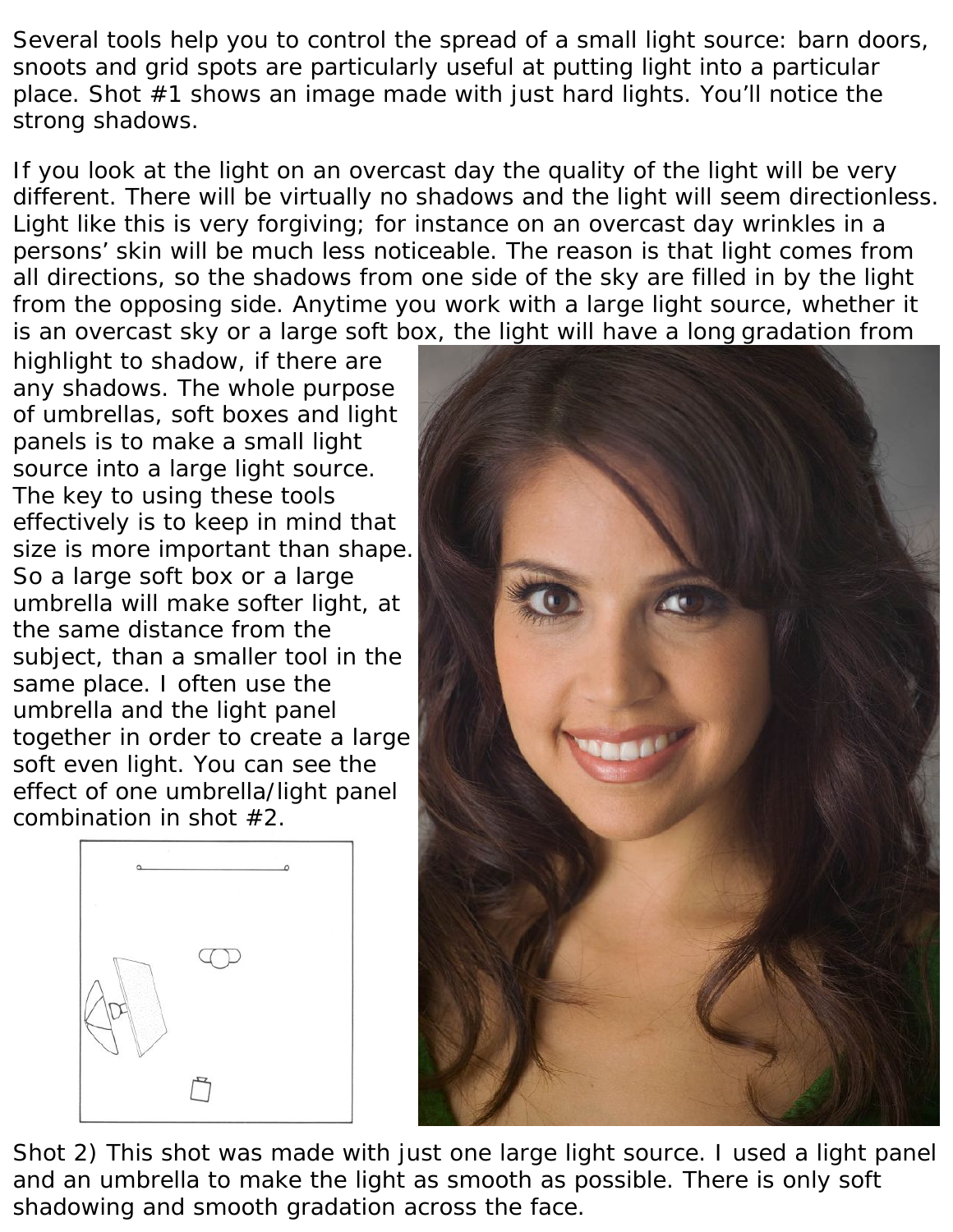Several tools help you to control the spread of a small light source: barn doors, snoots and grid spots are particularly useful at putting light into a particular place. Shot #1 shows an image made with just hard lights. You'll notice the strong shadows.

If you look at the light on an overcast day the quality of the light will be very different. There will be virtually no shadows and the light will seem directionless. Light like this is very forgiving; for instance on an overcast day wrinkles in a persons' skin will be much less noticeable. The reason is that light comes from all directions, so the shadows from one side of the sky are filled in by the light from the opposing side. Anytime you work with a large light source, whether it is an overcast sky or a large soft box, the light will have a long gradation from

highlight to shadow, if there are any shadows. The whole purpose of umbrellas, soft boxes and light panels is to make a small light source into a large light source. The key to using these tools effectively is to keep in mind that size is more important than shape. So a large soft box or a large umbrella will make softer light, at the same distance from the subject, than a smaller tool in the same place. I often use the umbrella and the light panel together in order to create a large soft even light. You can see the effect of one umbrella/light panel combination in shot #2.





*Shot 2) This shot was made with just one large light source. I used a light panel and an umbrella to make the light as smooth as possible. There is only soft shadowing and smooth gradation across the face.*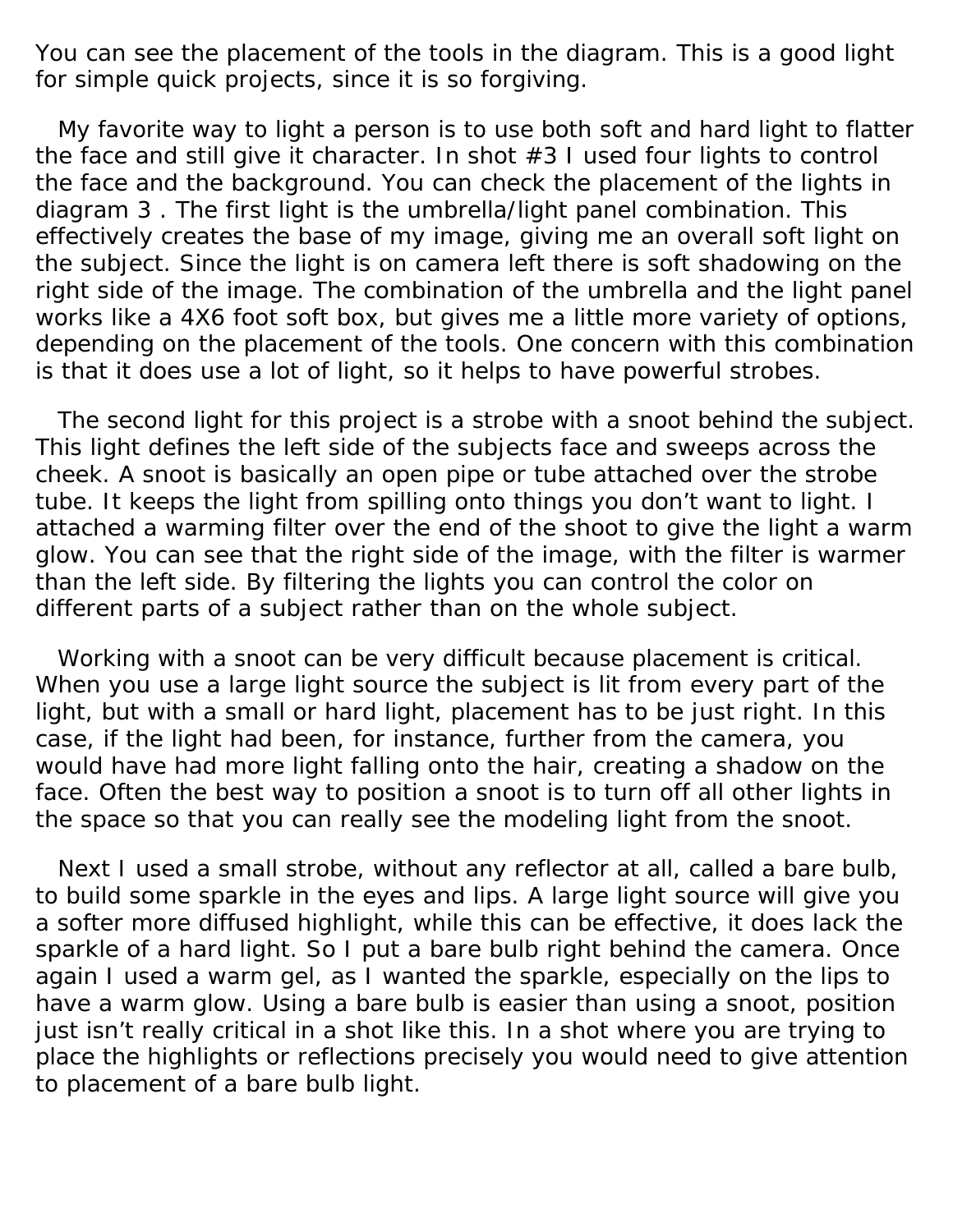You can see the placement of the tools in the diagram. This is a good light for simple quick projects, since it is so forgiving.

 My favorite way to light a person is to use both soft and hard light to flatter the face and still give it character. In shot #3 I used four lights to control the face and the background. You can check the placement of the lights in diagram 3 . The first light is the umbrella/light panel combination. This effectively creates the base of my image, giving me an overall soft light on the subject. Since the light is on camera left there is soft shadowing on the right side of the image. The combination of the umbrella and the light panel works like a 4X6 foot soft box, but gives me a little more variety of options, depending on the placement of the tools. One concern with this combination is that it does use a lot of light, so it helps to have powerful strobes.

 The second light for this project is a strobe with a snoot behind the subject. This light defines the left side of the subjects face and sweeps across the cheek. A snoot is basically an open pipe or tube attached over the strobe tube. It keeps the light from spilling onto things you don't want to light. I attached a warming filter over the end of the shoot to give the light a warm glow. You can see that the right side of the image, with the filter is warmer than the left side. By filtering the lights you can control the color on different parts of a subject rather than on the whole subject.

 Working with a snoot can be very difficult because placement is critical. When you use a large light source the subject is lit from every part of the light, but with a small or hard light, placement has to be just right. In this case, if the light had been, for instance, further from the camera, you would have had more light falling onto the hair, creating a shadow on the face. Often the best way to position a snoot is to turn off all other lights in the space so that you can really see the modeling light from the snoot.

 Next I used a small strobe, without any reflector at all, called a bare bulb, to build some sparkle in the eyes and lips. A large light source will give you a softer more diffused highlight, while this can be effective, it does lack the sparkle of a hard light. So I put a bare bulb right behind the camera. Once again I used a warm gel, as I wanted the sparkle, especially on the lips to have a warm glow. Using a bare bulb is easier than using a snoot, position just isn't really critical in a shot like this. In a shot where you are trying to place the highlights or reflections precisely you would need to give attention to placement of a bare bulb light.